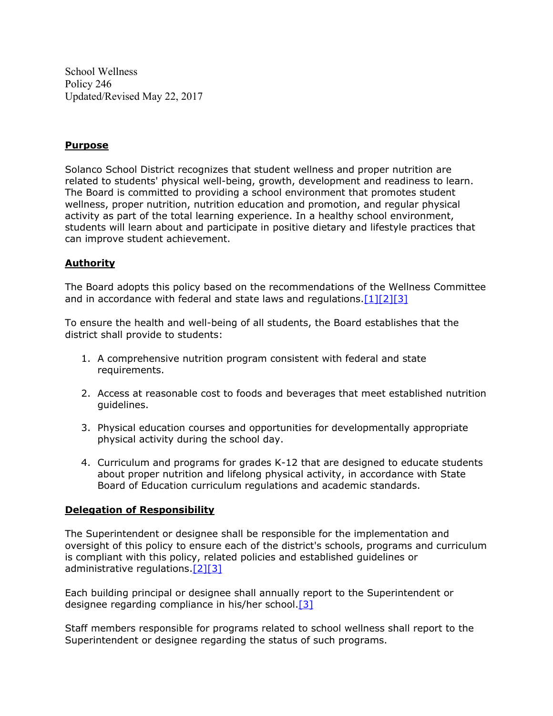School Wellness Policy 246 Updated/Revised May 22, 2017

## **Purpose**

Solanco School District recognizes that student wellness and proper nutrition are related to students' physical well-being, growth, development and readiness to learn. The Board is committed to providing a school environment that promotes student wellness, proper nutrition, nutrition education and promotion, and regular physical activity as part of the total learning experience. In a healthy school environment, students will learn about and participate in positive dietary and lifestyle practices that can improve student achievement.

# **Authority**

The Board adopts this policy based on the recommendations of the Wellness Committee and in accordance with federal and state laws and regulations.[1][2][3]

To ensure the health and well-being of all students, the Board establishes that the district shall provide to students:

- 1. A comprehensive nutrition program consistent with federal and state requirements.
- 2. Access at reasonable cost to foods and beverages that meet established nutrition guidelines.
- 3. Physical education courses and opportunities for developmentally appropriate physical activity during the school day.
- 4. Curriculum and programs for grades K-12 that are designed to educate students about proper nutrition and lifelong physical activity, in accordance with State Board of Education curriculum regulations and academic standards.

# **Delegation of Responsibility**

The Superintendent or designee shall be responsible for the implementation and oversight of this policy to ensure each of the district's schools, programs and curriculum is compliant with this policy, related policies and established guidelines or administrative regulations.[2][3]

Each building principal or designee shall annually report to the Superintendent or designee regarding compliance in his/her school.[3]

Staff members responsible for programs related to school wellness shall report to the Superintendent or designee regarding the status of such programs.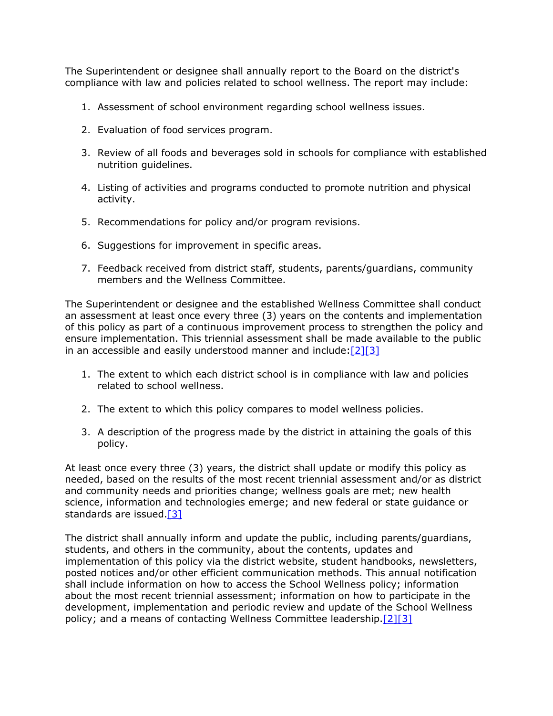The Superintendent or designee shall annually report to the Board on the district's compliance with law and policies related to school wellness. The report may include:

- 1. Assessment of school environment regarding school wellness issues.
- 2. Evaluation of food services program.
- 3. Review of all foods and beverages sold in schools for compliance with established nutrition guidelines.
- 4. Listing of activities and programs conducted to promote nutrition and physical activity.
- 5. Recommendations for policy and/or program revisions.
- 6. Suggestions for improvement in specific areas.
- 7. Feedback received from district staff, students, parents/guardians, community members and the Wellness Committee.

The Superintendent or designee and the established Wellness Committee shall conduct an assessment at least once every three (3) years on the contents and implementation of this policy as part of a continuous improvement process to strengthen the policy and ensure implementation. This triennial assessment shall be made available to the public in an accessible and easily understood manner and include:[2][3]

- 1. The extent to which each district school is in compliance with law and policies related to school wellness.
- 2. The extent to which this policy compares to model wellness policies.
- 3. A description of the progress made by the district in attaining the goals of this policy.

At least once every three (3) years, the district shall update or modify this policy as needed, based on the results of the most recent triennial assessment and/or as district and community needs and priorities change; wellness goals are met; new health science, information and technologies emerge; and new federal or state guidance or standards are issued.[3]

The district shall annually inform and update the public, including parents/guardians, students, and others in the community, about the contents, updates and implementation of this policy via the district website, student handbooks, newsletters, posted notices and/or other efficient communication methods. This annual notification shall include information on how to access the School Wellness policy; information about the most recent triennial assessment; information on how to participate in the development, implementation and periodic review and update of the School Wellness policy; and a means of contacting Wellness Committee leadership.[2][3]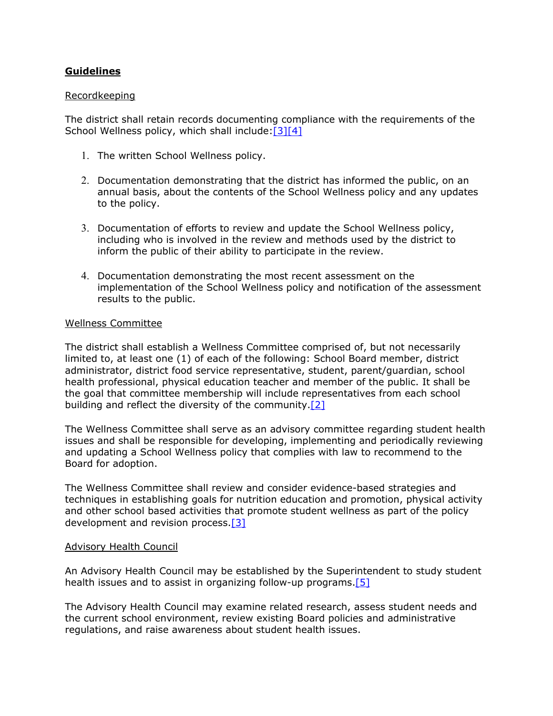# **Guidelines**

## Recordkeeping

The district shall retain records documenting compliance with the requirements of the School Wellness policy, which shall include: [3][4]

- 1. The written School Wellness policy.
- 2. Documentation demonstrating that the district has informed the public, on an annual basis, about the contents of the School Wellness policy and any updates to the policy.
- 3. Documentation of efforts to review and update the School Wellness policy, including who is involved in the review and methods used by the district to inform the public of their ability to participate in the review.
- 4. Documentation demonstrating the most recent assessment on the implementation of the School Wellness policy and notification of the assessment results to the public.

## Wellness Committee

The district shall establish a Wellness Committee comprised of, but not necessarily limited to, at least one (1) of each of the following: School Board member, district administrator, district food service representative, student, parent/guardian, school health professional, physical education teacher and member of the public. It shall be the goal that committee membership will include representatives from each school building and reflect the diversity of the community.<sup>[2]</sup>

The Wellness Committee shall serve as an advisory committee regarding student health issues and shall be responsible for developing, implementing and periodically reviewing and updating a School Wellness policy that complies with law to recommend to the Board for adoption.

The Wellness Committee shall review and consider evidence-based strategies and techniques in establishing goals for nutrition education and promotion, physical activity and other school based activities that promote student wellness as part of the policy development and revision process.[3]

## Advisory Health Council

An Advisory Health Council may be established by the Superintendent to study student health issues and to assist in organizing follow-up programs. [5]

The Advisory Health Council may examine related research, assess student needs and the current school environment, review existing Board policies and administrative regulations, and raise awareness about student health issues.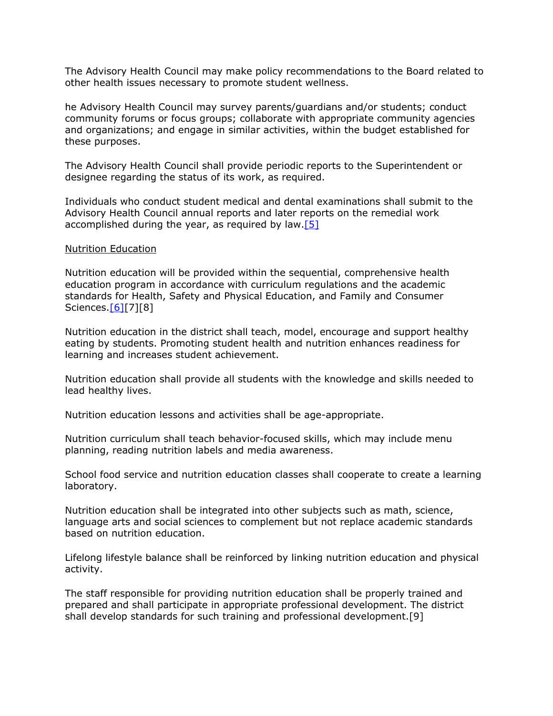The Advisory Health Council may make policy recommendations to the Board related to other health issues necessary to promote student wellness.

he Advisory Health Council may survey parents/guardians and/or students; conduct community forums or focus groups; collaborate with appropriate community agencies and organizations; and engage in similar activities, within the budget established for these purposes.

The Advisory Health Council shall provide periodic reports to the Superintendent or designee regarding the status of its work, as required.

Individuals who conduct student medical and dental examinations shall submit to the Advisory Health Council annual reports and later reports on the remedial work accomplished during the year, as required by law.  $[5]$ 

#### Nutrition Education

Nutrition education will be provided within the sequential, comprehensive health education program in accordance with curriculum regulations and the academic standards for Health, Safety and Physical Education, and Family and Consumer Sciences. [6][7][8]

Nutrition education in the district shall teach, model, encourage and support healthy eating by students. Promoting student health and nutrition enhances readiness for learning and increases student achievement.

Nutrition education shall provide all students with the knowledge and skills needed to lead healthy lives.

Nutrition education lessons and activities shall be age-appropriate.

Nutrition curriculum shall teach behavior-focused skills, which may include menu planning, reading nutrition labels and media awareness.

School food service and nutrition education classes shall cooperate to create a learning laboratory.

Nutrition education shall be integrated into other subjects such as math, science, language arts and social sciences to complement but not replace academic standards based on nutrition education.

Lifelong lifestyle balance shall be reinforced by linking nutrition education and physical activity.

The staff responsible for providing nutrition education shall be properly trained and prepared and shall participate in appropriate professional development. The district shall develop standards for such training and professional development.[9]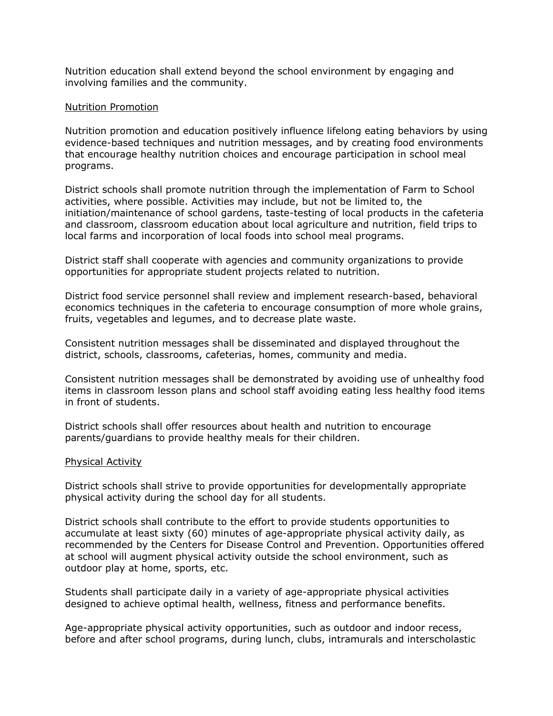Nutrition education shall extend beyond the school environment by engaging and involving families and the community.

## Nutrition Promotion

Nutrition promotion and education positively influence lifelong eating behaviors by using evidence-based techniques and nutrition messages, and by creating food environments that encourage healthy nutrition choices and encourage participation in school meal programs.

District schools shall promote nutrition through the implementation of Farm to School activities, where possible. Activities may include, but not be limited to, the initiation/maintenance of school gardens, taste-testing of local products in the cafeteria and classroom, classroom education about local agriculture and nutrition, field trips to local farms and incorporation of local foods into school meal programs.

District staff shall cooperate with agencies and community organizations to provide opportunities for appropriate student projects related to nutrition.

District food service personnel shall review and implement research-based, behavioral economics techniques in the cafeteria to encourage consumption of more whole grains, fruits, vegetables and legumes, and to decrease plate waste.

Consistent nutrition messages shall be disseminated and displayed throughout the district, schools, classrooms, cafeterias, homes, community and media.

Consistent nutrition messages shall be demonstrated by avoiding use of unhealthy food items in classroom lesson plans and school staff avoiding eating less healthy food items in front of students.

District schools shall offer resources about health and nutrition to encourage parents/guardians to provide healthy meals for their children.

## Physical Activity

District schools shall strive to provide opportunities for developmentally appropriate physical activity during the school day for all students.

District schools shall contribute to the effort to provide students opportunities to accumulate at least sixty (60) minutes of age-appropriate physical activity daily, as recommended by the Centers for Disease Control and Prevention. Opportunities offered at school will augment physical activity outside the school environment, such as outdoor play at home, sports, etc.

Students shall participate daily in a variety of age-appropriate physical activities designed to achieve optimal health, wellness, fitness and performance benefits.

Age-appropriate physical activity opportunities, such as outdoor and indoor recess, before and after school programs, during lunch, clubs, intramurals and interscholastic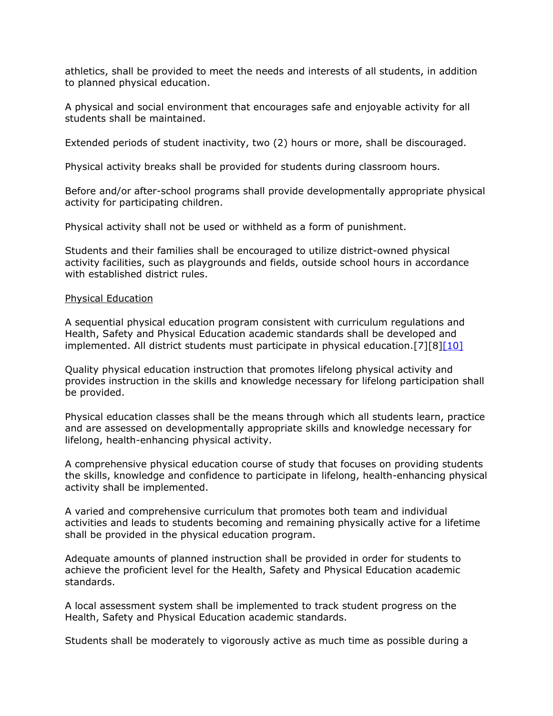athletics, shall be provided to meet the needs and interests of all students, in addition to planned physical education.

A physical and social environment that encourages safe and enjoyable activity for all students shall be maintained.

Extended periods of student inactivity, two (2) hours or more, shall be discouraged.

Physical activity breaks shall be provided for students during classroom hours.

Before and/or after-school programs shall provide developmentally appropriate physical activity for participating children.

Physical activity shall not be used or withheld as a form of punishment.

Students and their families shall be encouraged to utilize district-owned physical activity facilities, such as playgrounds and fields, outside school hours in accordance with established district rules.

#### Physical Education

A sequential physical education program consistent with curriculum regulations and Health, Safety and Physical Education academic standards shall be developed and implemented. All district students must participate in physical education.[7][8][10]

Quality physical education instruction that promotes lifelong physical activity and provides instruction in the skills and knowledge necessary for lifelong participation shall be provided.

Physical education classes shall be the means through which all students learn, practice and are assessed on developmentally appropriate skills and knowledge necessary for lifelong, health-enhancing physical activity.

A comprehensive physical education course of study that focuses on providing students the skills, knowledge and confidence to participate in lifelong, health-enhancing physical activity shall be implemented.

A varied and comprehensive curriculum that promotes both team and individual activities and leads to students becoming and remaining physically active for a lifetime shall be provided in the physical education program.

Adequate amounts of planned instruction shall be provided in order for students to achieve the proficient level for the Health, Safety and Physical Education academic standards.

A local assessment system shall be implemented to track student progress on the Health, Safety and Physical Education academic standards.

Students shall be moderately to vigorously active as much time as possible during a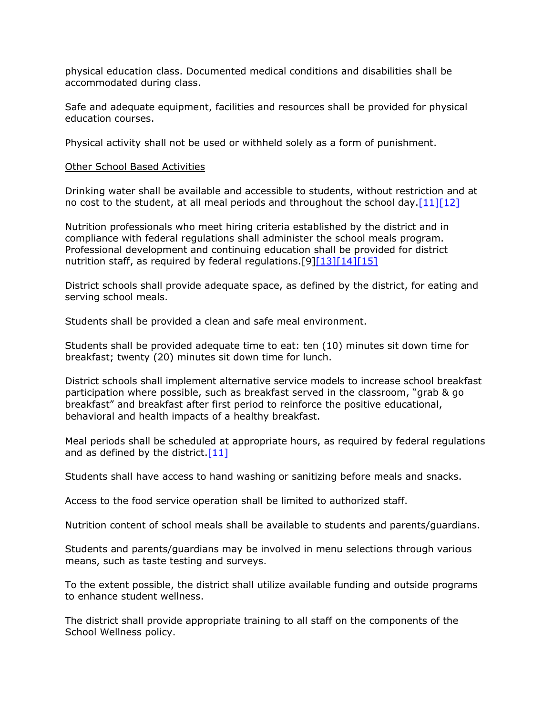physical education class. Documented medical conditions and disabilities shall be accommodated during class.

Safe and adequate equipment, facilities and resources shall be provided for physical education courses.

Physical activity shall not be used or withheld solely as a form of punishment.

## Other School Based Activities

Drinking water shall be available and accessible to students, without restriction and at no cost to the student, at all meal periods and throughout the school day.  $[11][12]$ 

Nutrition professionals who meet hiring criteria established by the district and in compliance with federal regulations shall administer the school meals program. Professional development and continuing education shall be provided for district nutrition staff, as required by federal regulations.[9][13][14][15]

District schools shall provide adequate space, as defined by the district, for eating and serving school meals.

Students shall be provided a clean and safe meal environment.

Students shall be provided adequate time to eat: ten (10) minutes sit down time for breakfast; twenty (20) minutes sit down time for lunch.

District schools shall implement alternative service models to increase school breakfast participation where possible, such as breakfast served in the classroom, "grab & go breakfast" and breakfast after first period to reinforce the positive educational, behavioral and health impacts of a healthy breakfast.

Meal periods shall be scheduled at appropriate hours, as required by federal regulations and as defined by the district. $[11]$ 

Students shall have access to hand washing or sanitizing before meals and snacks.

Access to the food service operation shall be limited to authorized staff.

Nutrition content of school meals shall be available to students and parents/guardians.

Students and parents/guardians may be involved in menu selections through various means, such as taste testing and surveys.

To the extent possible, the district shall utilize available funding and outside programs to enhance student wellness.

The district shall provide appropriate training to all staff on the components of the School Wellness policy.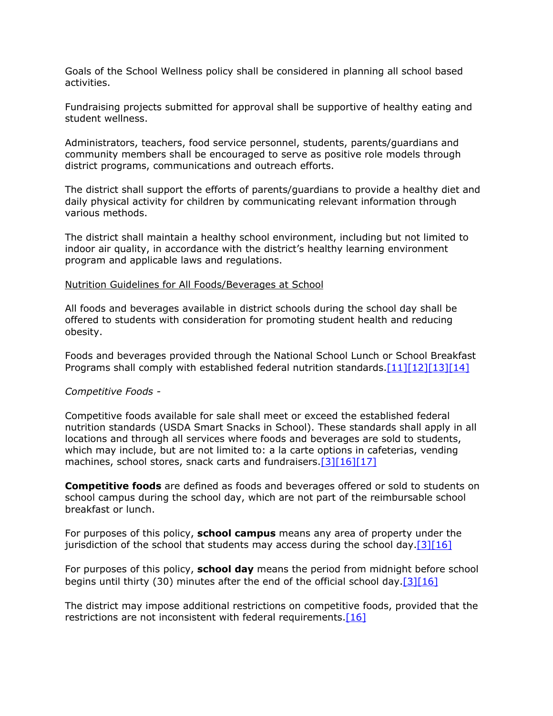Goals of the School Wellness policy shall be considered in planning all school based activities.

Fundraising projects submitted for approval shall be supportive of healthy eating and student wellness.

Administrators, teachers, food service personnel, students, parents/guardians and community members shall be encouraged to serve as positive role models through district programs, communications and outreach efforts.

The district shall support the efforts of parents/guardians to provide a healthy diet and daily physical activity for children by communicating relevant information through various methods.

The district shall maintain a healthy school environment, including but not limited to indoor air quality, in accordance with the district's healthy learning environment program and applicable laws and regulations.

#### Nutrition Guidelines for All Foods/Beverages at School

All foods and beverages available in district schools during the school day shall be offered to students with consideration for promoting student health and reducing obesity.

Foods and beverages provided through the National School Lunch or School Breakfast Programs shall comply with established federal nutrition standards.[11][12][13][14]

## *Competitive Foods -*

Competitive foods available for sale shall meet or exceed the established federal nutrition standards (USDA Smart Snacks in School). These standards shall apply in all locations and through all services where foods and beverages are sold to students, which may include, but are not limited to: a la carte options in cafeterias, vending machines, school stores, snack carts and fundraisers.[3][16][17]

**Competitive foods** are defined as foods and beverages offered or sold to students on school campus during the school day, which are not part of the reimbursable school breakfast or lunch.

For purposes of this policy, **school campus** means any area of property under the jurisdiction of the school that students may access during the school day. $[3][16]$ 

For purposes of this policy, **school day** means the period from midnight before school begins until thirty (30) minutes after the end of the official school day.[3][16]

The district may impose additional restrictions on competitive foods, provided that the restrictions are not inconsistent with federal requirements. $[16]$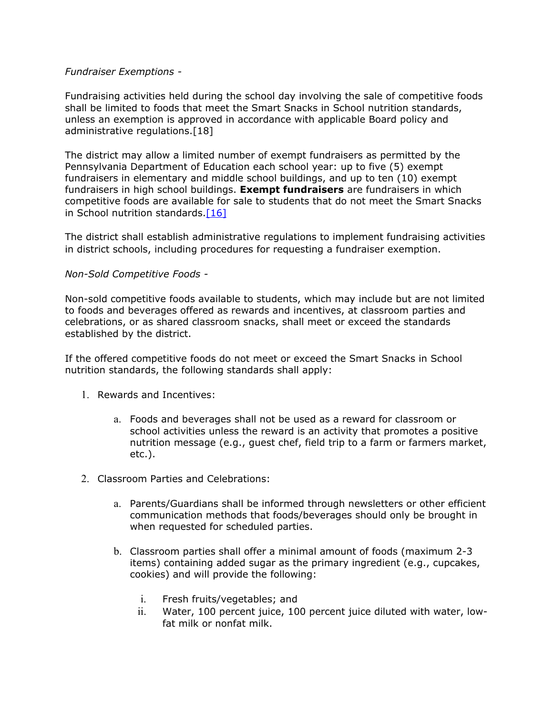## *Fundraiser Exemptions -*

Fundraising activities held during the school day involving the sale of competitive foods shall be limited to foods that meet the Smart Snacks in School nutrition standards, unless an exemption is approved in accordance with applicable Board policy and administrative regulations.[18]

The district may allow a limited number of exempt fundraisers as permitted by the Pennsylvania Department of Education each school year: up to five (5) exempt fundraisers in elementary and middle school buildings, and up to ten (10) exempt fundraisers in high school buildings. **Exempt fundraisers** are fundraisers in which competitive foods are available for sale to students that do not meet the Smart Snacks in School nutrition standards.[16]

The district shall establish administrative regulations to implement fundraising activities in district schools, including procedures for requesting a fundraiser exemption.

## *Non-Sold Competitive Foods -*

Non-sold competitive foods available to students, which may include but are not limited to foods and beverages offered as rewards and incentives, at classroom parties and celebrations, or as shared classroom snacks, shall meet or exceed the standards established by the district.

If the offered competitive foods do not meet or exceed the Smart Snacks in School nutrition standards, the following standards shall apply:

- 1. Rewards and Incentives:
	- a. Foods and beverages shall not be used as a reward for classroom or school activities unless the reward is an activity that promotes a positive nutrition message (e.g., guest chef, field trip to a farm or farmers market, etc.).
- 2. Classroom Parties and Celebrations:
	- a. Parents/Guardians shall be informed through newsletters or other efficient communication methods that foods/beverages should only be brought in when requested for scheduled parties.
	- b. Classroom parties shall offer a minimal amount of foods (maximum 2-3 items) containing added sugar as the primary ingredient (e.g., cupcakes, cookies) and will provide the following:
		- i. Fresh fruits/vegetables; and
		- ii. Water, 100 percent juice, 100 percent juice diluted with water, lowfat milk or nonfat milk.